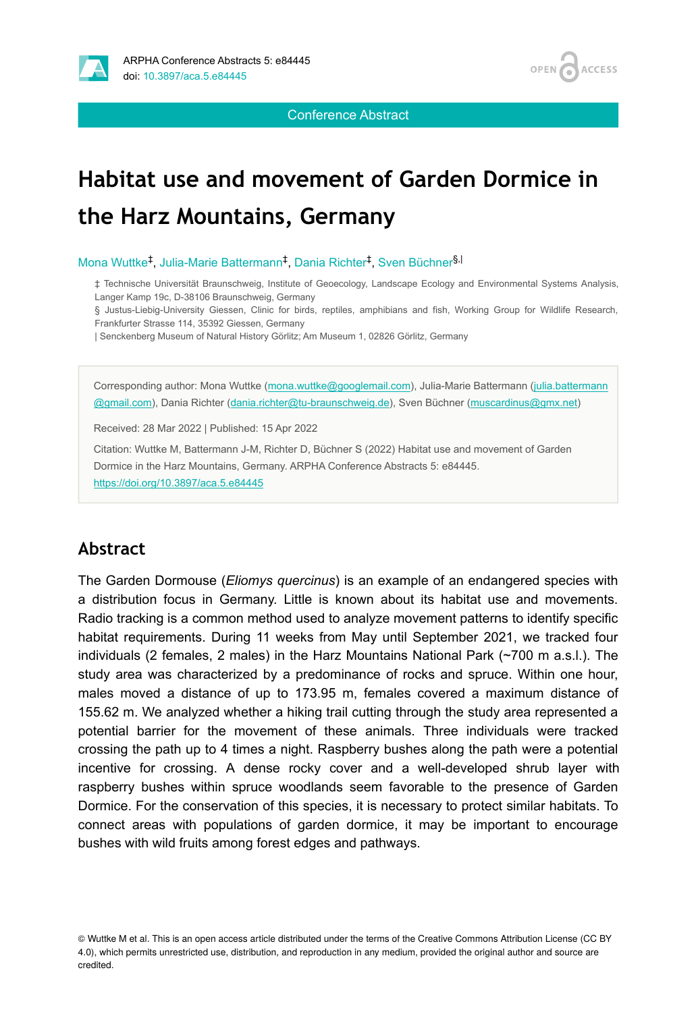



Conference Abstract

# **Habitat use and movement of Garden Dormice in the Harz Mountains, Germany**

Mona Wuttke<sup>‡</sup>, Julia-Marie Battermann<sup>‡</sup>, Dania Richter<sup>‡</sup>, Sven Büchner<sup>§,|</sup>

‡ Technische Universität Braunschweig, Institute of Geoecology, Landscape Ecology and Environmental Systems Analysis, Langer Kamp 19c, D-38106 Braunschweig, Germany

§ Justus-Liebig-University Giessen, Clinic for birds, reptiles, amphibians and fish, Working Group for Wildlife Research, Frankfurter Strasse 114, 35392 Giessen, Germany

| Senckenberg Museum of Natural History Görlitz; Am Museum 1, 02826 Görlitz, Germany

Corresponding author: Mona Wuttke ([mona.wuttke@googlemail.com\)](mailto:mona.wuttke@googlemail.com), Julia-Marie Battermann ([julia.battermann](mailto:julia.battermann@gmail.com) [@gmail.com\)](mailto:julia.battermann@gmail.com), Dania Richter ([dania.richter@tu-braunschweig.de\)](mailto:dania.richter@tu-braunschweig.de), Sven Büchner ([muscardinus@gmx.net\)](mailto:muscardinus@gmx.net)

Received: 28 Mar 2022 | Published: 15 Apr 2022

Citation: Wuttke M, Battermann J-M, Richter D, Büchner S (2022) Habitat use and movement of Garden Dormice in the Harz Mountains, Germany. ARPHA Conference Abstracts 5: e84445. <https://doi.org/10.3897/aca.5.e84445>

#### **Abstract**

The Garden Dormouse (*Eliomys quercinus*) is an example of an endangered species with a distribution focus in Germany. Little is known about its habitat use and movements. Radio tracking is a common method used to analyze movement patterns to identify specific habitat requirements. During 11 weeks from May until September 2021, we tracked four individuals (2 females, 2 males) in the Harz Mountains National Park (~700 m a.s.l.). The study area was characterized by a predominance of rocks and spruce. Within one hour, males moved a distance of up to 173.95 m, females covered a maximum distance of 155.62 m. We analyzed whether a hiking trail cutting through the study area represented a potential barrier for the movement of these animals. Three individuals were tracked crossing the path up to 4 times a night. Raspberry bushes along the path were a potential incentive for crossing. A dense rocky cover and a well-developed shrub layer with raspberry bushes within spruce woodlands seem favorable to the presence of Garden Dormice. For the conservation of this species, it is necessary to protect similar habitats. To connect areas with populations of garden dormice, it may be important to encourage bushes with wild fruits among forest edges and pathways.

<sup>©</sup> Wuttke M et al. This is an open access article distributed under the terms of the Creative Commons Attribution License (CC BY 4.0), which permits unrestricted use, distribution, and reproduction in any medium, provided the original author and source are credited.